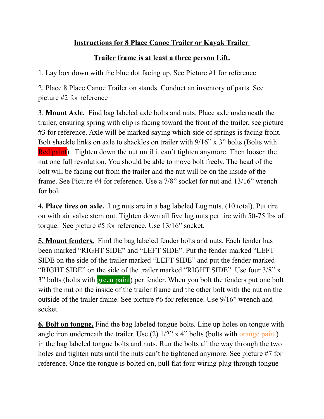## **Instructions for 8 Place Canoe Trailer or Kayak Trailer**

## **Trailer frame is at least a three person Lift.**

1. Lay box down with the blue dot facing up. See Picture #1 for reference

2. Place 8 Place Canoe Trailer on stands. Conduct an inventory of parts. See picture #2 for reference

3. **Mount Axle.** Find bag labeled axle bolts and nuts. Place axle underneath the trailer, ensuring spring with clip is facing toward the front of the trailer, see picture #3 for reference. Axle will be marked saying which side of springs is facing front. Bolt shackle links on axle to shackles on trailer with  $9/16$ " x 3" bolts (Bolts with Red paint). Tighten down the nut until it can't tighten anymore. Then loosen the nut one full revolution. You should be able to move bolt freely. The head of the bolt will be facing out from the trailer and the nut will be on the inside of the frame. See Picture #4 for reference. Use a 7/8" socket for nut and 13/16" wrench for bolt.

**4. Place tires on axle.** Lug nuts are in a bag labeled Lug nuts. (10 total). Put tire on with air valve stem out. Tighten down all five lug nuts per tire with 50-75 lbs of torque. See picture #5 for reference. Use 13/16" socket.

**5. Mount fenders.** Find the bag labeled fender bolts and nuts. Each fender has been marked "RIGHT SIDE" and "LEFT SIDE". Put the fender marked "LEFT SIDE on the side of the trailer marked "LEFT SIDE" and put the fender marked "RIGHT SIDE" on the side of the trailer marked "RIGHT SIDE". Use four 3/8" x 3" bolts (bolts with green paint) per fender. When you bolt the fenders put one bolt with the nut on the inside of the trailer frame and the other bolt with the nut on the outside of the trailer frame. See picture #6 for reference. Use 9/16" wrench and socket.

**6. Bolt on tongue.** Find the bag labeled tongue bolts. Line up holes on tongue with angle iron underneath the trailer. Use (2) 1/2" x 4" bolts (bolts with orange paint) in the bag labeled tongue bolts and nuts. Run the bolts all the way through the two holes and tighten nuts until the nuts can't be tightened anymore. See picture #7 for reference. Once the tongue is bolted on, pull flat four wiring plug through tongue